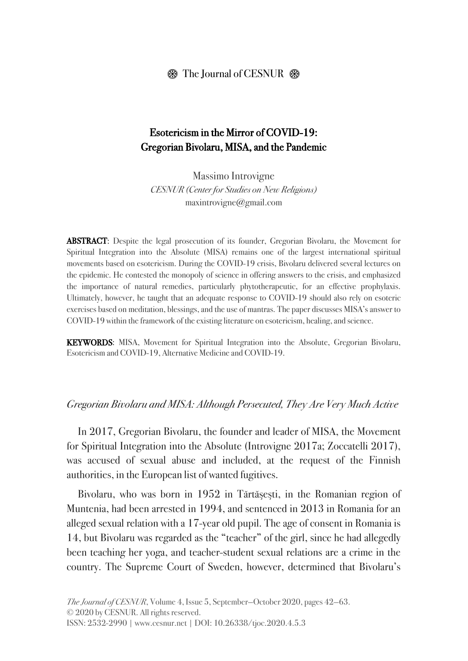#### $\otimes$  The Journal of CESNUR  $\otimes$

### Esotericism in the Mirror of COVID-19: Gregorian Bivolaru, MISA, and the Pandemic

Massimo Introvigne CESNUR (Center for Studies on New Religions) maxintrovigne@gmail.com

ABSTRACT: Despite the legal prosecution of its founder, Gregorian Bivolaru, the Movement for Spiritual Integration into the Absolute (MISA) remains one of the largest international spiritual movements based on esotericism. During the COVID-19 crisis, Bivolaru delivered several lectures on the epidemic. He contested the monopoly of science in offering answers to the crisis, and emphasized the importance of natural remedies, particularly phytotherapeutic, for an effective prophylaxis. Ultimately, however, he taught that an adequate response to COVID-19 should also rely on esoteric exercises based on meditation, blessings, and the use of mantras. The paper discusses MISA's answer to COVID-19 within the framework of the existing literature on esotericism, healing, and science.

KEYWORDS: MISA, Movement for Spiritual Integration into the Absolute, Gregorian Bivolaru, Esotericism and COVID-19, Alternative Medicine and COVID-19.

#### Gregorian Bivolaru and MISA: Although Persecuted, They Are Very Much Active

In 2017, Gregorian Bivolaru, the founder and leader of MISA, the Movement for Spiritual Integration into the Absolute (Introvigne 2017a; Zoccatelli 2017), was accused of sexual abuse and included, at the request of the Finnish authorities, in the European list of wanted fugitives.

Bivolaru, who was born in 1952 in Tărtăşeşti, in the Romanian region of Muntenia, had been arrested in 1994, and sentenced in 2013 in Romania for an alleged sexual relation with a 17-year old pupil. The age of consent in Romania is 14, but Bivolaru was regarded as the "teacher" of the girl, since he had allegedly been teaching her yoga, and teacher-student sexual relations are a crime in the country. The Supreme Court of Sweden, however, determined that Bivolaru's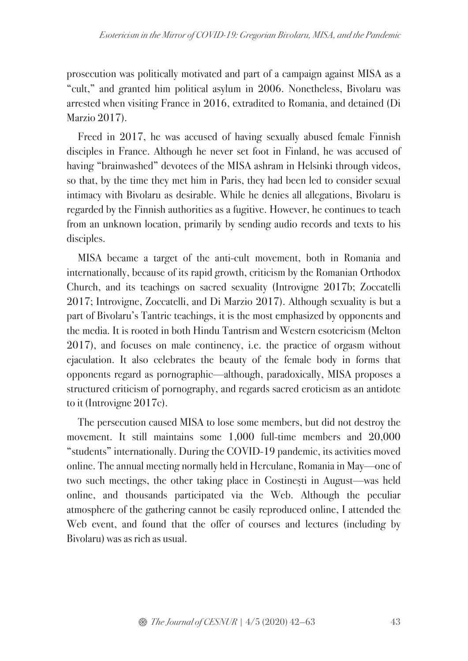prosecution was politically motivated and part of a campaign against MISA as a "cult," and granted him political asylum in 2006. Nonetheless, Bivolaru was arrested when visiting France in 2016, extradited to Romania, and detained (Di Marzio 2017).

Freed in 2017, he was accused of having sexually abused female Finnish disciples in France. Although he never set foot in Finland, he was accused of having "brainwashed" devotees of the MISA ashram in Helsinki through videos, so that, by the time they met him in Paris, they had been led to consider sexual intimacy with Bivolaru as desirable. While he denies all allegations, Bivolaru is regarded by the Finnish authorities as a fugitive. However, he continues to teach from an unknown location, primarily by sending audio records and texts to his disciples.

MISA became a target of the anti-cult movement, both in Romania and internationally, because of its rapid growth, criticism by the Romanian Orthodox Church, and its teachings on sacred sexuality (Introvigne 2017b; Zoccatelli 2017; Introvigne, Zoccatelli, and Di Marzio 2017). Although sexuality is but a part of Bivolaru's Tantric teachings, it is the most emphasized by opponents and the media. It is rooted in both Hindu Tantrism and Western esotericism (Melton 2017), and focuses on male continency, i.e. the practice of orgasm without ejaculation. It also celebrates the beauty of the female body in forms that opponents regard as pornographic—although, paradoxically, MISA proposes a structured criticism of pornography, and regards sacred eroticism as an antidote to it (Introvigne 2017c).

The persecution caused MISA to lose some members, but did not destroy the movement. It still maintains some 1,000 full-time members and 20,000 "students" internationally. During the COVID-19 pandemic, its activities moved online. The annual meeting normally held in Herculane, Romania in May—one of two such meetings, the other taking place in Costineşti in August—was held online, and thousands participated via the Web. Although the peculiar atmosphere of the gathering cannot be easily reproduced online, I attended the Web event, and found that the offer of courses and lectures (including by Bivolaru) was as rich as usual.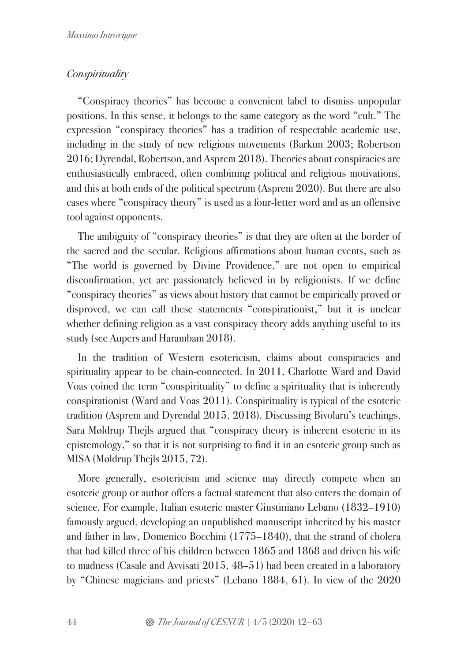### **Conspirituality**

"Conspiracy theories" has become a convenient label to dismiss unpopular positions. In this sense, it belongs to the same category as the word "cult." The expression "conspiracy theories" has a tradition of respectable academic use, including in the study of new religious movements (Barkun 2003; Robertson 2016; Dyrendal, Robertson, and Asprem 2018). Theories about conspiracies are enthusiastically embraced, often combining political and religious motivations, and this at both ends of the political spectrum (Asprem 2020). But there are also cases where "conspiracy theory" is used as a four-letter word and as an offensive tool against opponents.

The ambiguity of "conspiracy theories" is that they are often at the border of the sacred and the secular. Religious affirmations about human events, such as "The world is governed by Divine Providence," are not open to empirical disconfirmation, yet are passionately believed in by religionists. If we define "conspiracy theories" as views about history that cannot be empirically proved or disproved, we can call these statements "conspirationist," but it is unclear whether defining religion as a vast conspiracy theory adds anything useful to its study (see Aupers and Harambam 2018).

In the tradition of Western esotericism, claims about conspiracies and spirituality appear to be chain-connected. In 2011, Charlotte Ward and David Voas coined the term "conspirituality" to define a spirituality that is inherently conspirationist (Ward and Voas 2011). Conspirituality is typical of the esoteric tradition (Asprem and Dyrendal 2015, 2018). Discussing Bivolaru's teachings, Sara Møldrup Thejls argued that "conspiracy theory is inherent esoteric in its epistemology," so that it is not surprising to find it in an esoteric group such as MISA (Møldrup Thejls 2015, 72).

More generally, esotericism and science may directly compete when an esoteric group or author offers a factual statement that also enters the domain of science. For example, Italian esoteric master Giustiniano Lebano (1832–1910) famously argued, developing an unpublished manuscript inherited by his master and father in law, Domenico Bocchini (1775–1840), that the strand of cholera that had killed three of his children between 1865 and 1868 and driven his wife to madness (Casale and Avvisati 2015, 48–51) had been created in a laboratory by "Chinese magicians and priests" (Lebano 1884, 61). In view of the 2020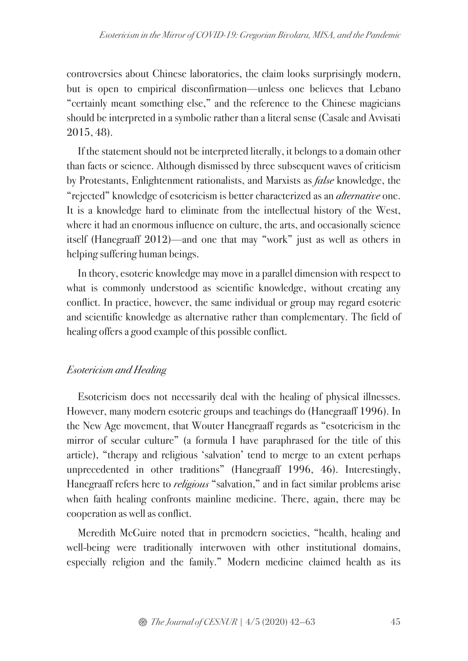controversies about Chinese laboratories, the claim looks surprisingly modern, but is open to empirical disconfirmation—unless one believes that Lebano "certainly meant something else," and the reference to the Chinese magicians should be interpreted in a symbolic rather than a literal sense (Casale and Avvisati 2015, 48).

If the statement should not be interpreted literally, it belongs to a domain other than facts or science. Although dismissed by three subsequent waves of criticism by Protestants, Enlightenment rationalists, and Marxists as false knowledge, the "rejected" knowledge of esotericism is better characterized as an *alternative* one. It is a knowledge hard to eliminate from the intellectual history of the West, where it had an enormous influence on culture, the arts, and occasionally science itself (Hanegraaff 2012)—and one that may "work" just as well as others in helping suffering human beings.

In theory, esoteric knowledge may move in a parallel dimension with respect to what is commonly understood as scientific knowledge, without creating any conflict. In practice, however, the same individual or group may regard esoteric and scientific knowledge as alternative rather than complementary. The field of healing offers a good example of this possible conflict.

### Esotericism and Healing

Esotericism does not necessarily deal with the healing of physical illnesses. However, many modern esoteric groups and teachings do (Hanegraaff 1996). In the New Age movement, that Wouter Hanegraaff regards as "esotericism in the mirror of secular culture" (a formula I have paraphrased for the title of this article), "therapy and religious 'salvation' tend to merge to an extent perhaps unprecedented in other traditions" (Hanegraaff 1996, 46). Interestingly, Hanegraaff refers here to *religious* "salvation," and in fact similar problems arise when faith healing confronts mainline medicine. There, again, there may be cooperation as well as conflict.

Meredith McGuire noted that in premodern societies, "health, healing and well-being were traditionally interwoven with other institutional domains, especially religion and the family." Modern medicine claimed health as its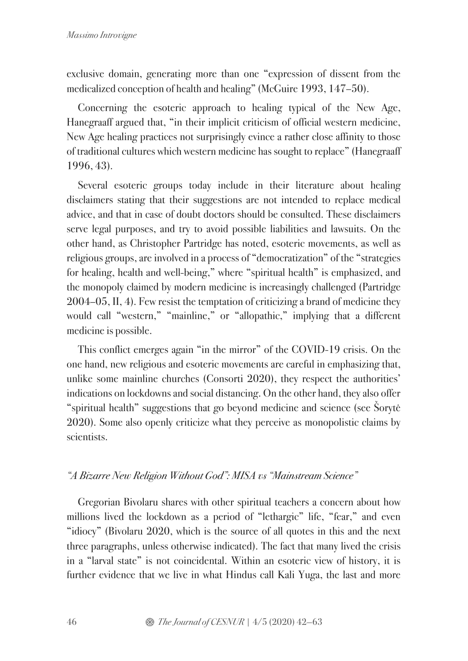exclusive domain, generating more than one "expression of dissent from the medicalized conception of health and healing" (McGuire 1993, 147–50).

Concerning the esoteric approach to healing typical of the New Age, Hanegraaff argued that, "in their implicit criticism of official western medicine, New Age healing practices not surprisingly evince a rather close affinity to those of traditional cultures which western medicine has sought to replace" (Hanegraaff 1996, 43).

Several esoteric groups today include in their literature about healing disclaimers stating that their suggestions are not intended to replace medical advice, and that in case of doubt doctors should be consulted. These disclaimers serve legal purposes, and try to avoid possible liabilities and lawsuits. On the other hand, as Christopher Partridge has noted, esoteric movements, as well as religious groups, are involved in a process of "democratization" of the "strategies for healing, health and well-being," where "spiritual health" is emphasized, and the monopoly claimed by modern medicine is increasingly challenged (Partridge 2004–05, II, 4). Few resist the temptation of criticizing a brand of medicine they would call "western," "mainline," or "allopathic," implying that a different medicine is possible.

This conflict emerges again "in the mirror" of the COVID-19 crisis. On the one hand, new religious and esoteric movements are careful in emphasizing that, unlike some mainline churches (Consorti 2020), they respect the authorities' indications on lockdowns and social distancing. On the other hand, they also offer "spiritual health" suggestions that go beyond medicine and science (see Šorytė 2020). Some also openly criticize what they perceive as monopolistic claims by scientists.

### "A Bizarre New Religion Without God": MISA vs "Mainstream Science"

Gregorian Bivolaru shares with other spiritual teachers a concern about how millions lived the lockdown as a period of "lethargic" life, "fear," and even "idiocy" (Bivolaru 2020, which is the source of all quotes in this and the next three paragraphs, unless otherwise indicated). The fact that many lived the crisis in a "larval state" is not coincidental. Within an esoteric view of history, it is further evidence that we live in what Hindus call Kali Yuga, the last and more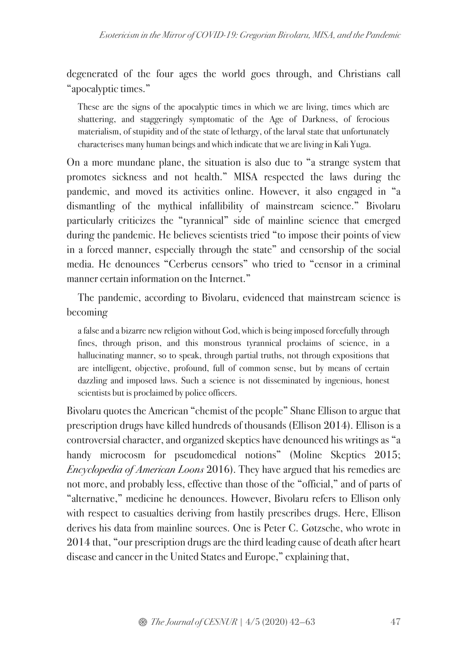degenerated of the four ages the world goes through, and Christians call "apocalyptic times."

These are the signs of the apocalyptic times in which we are living, times which are shattering, and staggeringly symptomatic of the Age of Darkness, of ferocious materialism, of stupidity and of the state of lethargy, of the larval state that unfortunately characterises many human beings and which indicate that we are living in Kali Yuga.

On a more mundane plane, the situation is also due to "a strange system that promotes sickness and not health." MISA respected the laws during the pandemic, and moved its activities online. However, it also engaged in "a dismantling of the mythical infallibility of mainstream science." Bivolaru particularly criticizes the "tyrannical" side of mainline science that emerged during the pandemic. He believes scientists tried "to impose their points of view in a forced manner, especially through the state" and censorship of the social media. He denounces "Cerberus censors" who tried to "censor in a criminal manner certain information on the Internet."

The pandemic, according to Bivolaru, evidenced that mainstream science is becoming

a false and a bizarre new religion without God, which is being imposed forcefully through fines, through prison, and this monstrous tyrannical proclaims of science, in a hallucinating manner, so to speak, through partial truths, not through expositions that are intelligent, objective, profound, full of common sense, but by means of certain dazzling and imposed laws. Such a science is not disseminated by ingenious, honest scientists but is proclaimed by police officers.

Bivolaru quotes the American "chemist of the people" Shane Ellison to argue that prescription drugs have killed hundreds of thousands (Ellison 2014). Ellison is a controversial character, and organized skeptics have denounced his writings as "a handy microcosm for pseudomedical notions" (Moline Skeptics 2015; Encyclopedia of American Loons 2016). They have argued that his remedies are not more, and probably less, effective than those of the "official," and of parts of "alternative," medicine he denounces. However, Bivolaru refers to Ellison only with respect to casualties deriving from hastily prescribes drugs. Here, Ellison derives his data from mainline sources. One is Peter C. Gøtzsche, who wrote in 2014 that, "our prescription drugs are the third leading cause of death after heart disease and cancer in the United States and Europe," explaining that,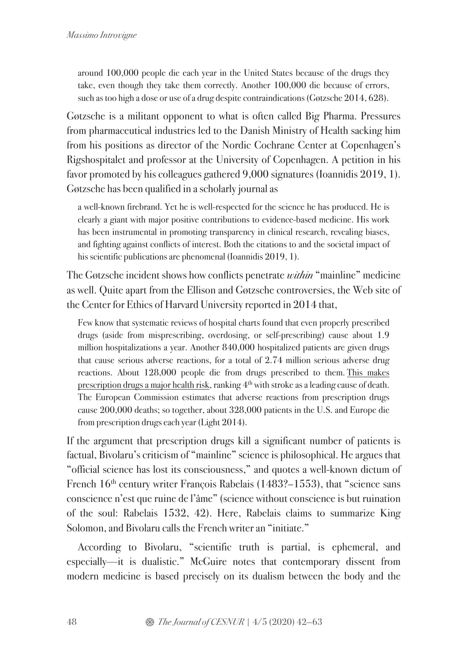around 100,000 people die each year in the United States because of the drugs they take, even though they take them correctly. Another 100,000 die because of errors, such as too high a dose or use of a drug despite contraindications (Gøtzsche 2014, 628).

Gøtzsche is a militant opponent to what is often called Big Pharma. Pressures from pharmaceutical industries led to the Danish Ministry of Health sacking him from his positions as director of the Nordic Cochrane Center at Copenhagen's Rigshospitalet and professor at the University of Copenhagen. A petition in his favor promoted by his colleagues gathered 9,000 signatures (Ioannidis 2019, 1). Gøtzsche has been qualified in a scholarly journal as

a well-known firebrand. Yet he is well-respected for the science he has produced. He is clearly a giant with major positive contributions to evidence-based medicine. His work has been instrumental in promoting transparency in clinical research, revealing biases, and fighting against conflicts of interest. Both the citations to and the societal impact of his scientific publications are phenomenal (Ioannidis 2019, 1).

The Gøtzsche incident shows how conflicts penetrate *within* "mainline" medicine as well. Quite apart from the Ellison and Gøtzsche controversies, the Web site of the Center for Ethics of Harvard University reported in 2014 that,

Few know that systematic reviews of hospital charts found that even properly prescribed drugs (aside from misprescribing, overdosing, or self-prescribing) cause about 1.9 million hospitalizations a year. Another 840,000 hospitalized patients are given drugs that cause serious adverse reactions, for a total of 2.74 million serious adverse drug reactions. About 128,000 people die from drugs prescribed to them. This makes prescription drugs a major health risk, ranking  $4<sup>th</sup>$  with stroke as a leading cause of death. The European Commission estimates that adverse reactions from prescription drugs cause 200,000 deaths; so together, about 328,000 patients in the U.S. and Europe die from prescription drugs each year (Light 2014).

If the argument that prescription drugs kill a significant number of patients is factual, Bivolaru's criticism of "mainline" science is philosophical. He argues that "official science has lost its consciousness," and quotes a well-known dictum of French 16<sup>th</sup> century writer François Rabelais (1483?–1553), that "science sans conscience n'est que ruine de l'âme" (science without conscience is but ruination of the soul: Rabelais 1532, 42). Here, Rabelais claims to summarize King Solomon, and Bivolaru calls the French writer an "initiate."

According to Bivolaru, "scientific truth is partial, is ephemeral, and especially—it is dualistic." McGuire notes that contemporary dissent from modern medicine is based precisely on its dualism between the body and the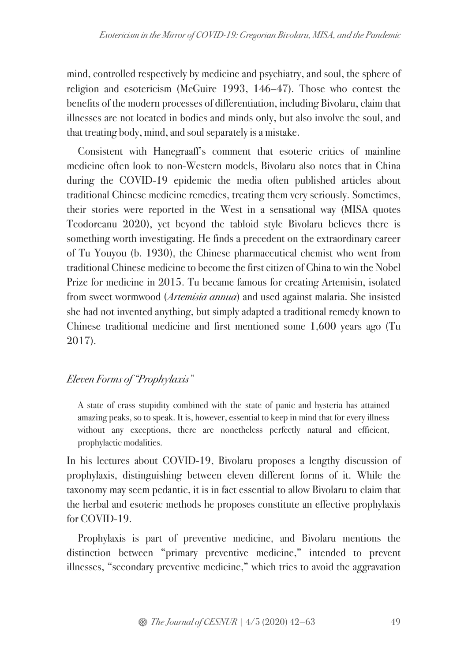mind, controlled respectively by medicine and psychiatry, and soul, the sphere of religion and esotericism (McGuire 1993, 146–47). Those who contest the benefits of the modern processes of differentiation, including Bivolaru, claim that illnesses are not located in bodies and minds only, but also involve the soul, and that treating body, mind, and soul separately is a mistake.

Consistent with Hanegraaff's comment that esoteric critics of mainline medicine often look to non-Western models, Bivolaru also notes that in China during the COVID-19 epidemic the media often published articles about traditional Chinese medicine remedies, treating them very seriously. Sometimes, their stories were reported in the West in a sensational way (MISA quotes Teodoreanu 2020), yet beyond the tabloid style Bivolaru believes there is something worth investigating. He finds a precedent on the extraordinary career of Tu Youyou (b. 1930), the Chinese pharmaceutical chemist who went from traditional Chinese medicine to become the first citizen of China to win the Nobel Prize for medicine in 2015. Tu became famous for creating Artemisin, isolated from sweet wormwood (Artemisia annua) and used against malaria. She insisted she had not invented anything, but simply adapted a traditional remedy known to Chinese traditional medicine and first mentioned some 1,600 years ago (Tu 2017).

# Eleven Forms of "Prophylaxis"

A state of crass stupidity combined with the state of panic and hysteria has attained amazing peaks, so to speak. It is, however, essential to keep in mind that for every illness without any exceptions, there are nonetheless perfectly natural and efficient, prophylactic modalities.

In his lectures about COVID-19, Bivolaru proposes a lengthy discussion of prophylaxis, distinguishing between eleven different forms of it. While the taxonomy may seem pedantic, it is in fact essential to allow Bivolaru to claim that the herbal and esoteric methods he proposes constitute an effective prophylaxis for COVID-19.

Prophylaxis is part of preventive medicine, and Bivolaru mentions the distinction between "primary preventive medicine," intended to prevent illnesses, "secondary preventive medicine," which tries to avoid the aggravation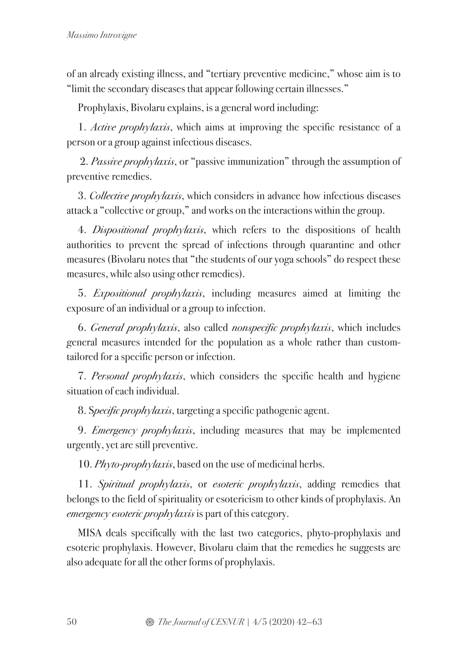of an already existing illness, and "tertiary preventive medicine," whose aim is to "limit the secondary diseases that appear following certain illnesses."

Prophylaxis, Bivolaru explains, is a general word including:

1. Active prophylaxis, which aims at improving the specific resistance of a person or a group against infectious diseases.

2. Passive prophylaxis, or "passive immunization" through the assumption of preventive remedies.

3. Collective prophylaxis, which considers in advance how infectious diseases attack a "collective or group," and works on the interactions within the group.

4. Dispositional prophylaxis, which refers to the dispositions of health authorities to prevent the spread of infections through quarantine and other measures (Bivolaru notes that "the students of our yoga schools" do respect these measures, while also using other remedies).

5. Expositional prophylaxis, including measures aimed at limiting the exposure of an individual or a group to infection.

6. General prophylaxis, also called nonspecific prophylaxis, which includes general measures intended for the population as a whole rather than customtailored for a specific person or infection.

7. Personal prophylaxis, which considers the specific health and hygiene situation of each individual.

8. Specific prophylaxis, targeting a specific pathogenic agent.

9. *Emergency prophylaxis*, including measures that may be implemented urgently, yet are still preventive.

10. *Phyto-prophylaxis*, based on the use of medicinal herbs.

11. Spiritual prophylaxis, or esoteric prophylaxis, adding remedies that belongs to the field of spirituality or esotericism to other kinds of prophylaxis. An emergency esoteric prophylaxis is part of this category.

MISA deals specifically with the last two categories, phyto-prophylaxis and esoteric prophylaxis. However, Bivolaru claim that the remedies he suggests are also adequate for all the other forms of prophylaxis.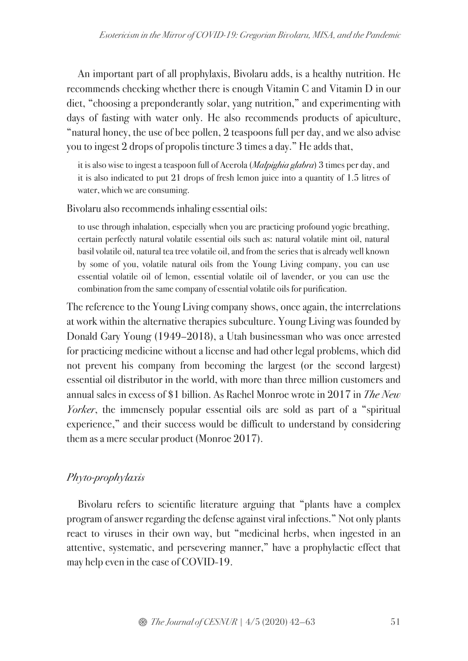An important part of all prophylaxis, Bivolaru adds, is a healthy nutrition. He recommends checking whether there is enough Vitamin C and Vitamin D in our diet, "choosing a preponderantly solar, yang nutrition," and experimenting with days of fasting with water only. He also recommends products of apiculture, "natural honey, the use of bee pollen, 2 teaspoons full per day, and we also advise you to ingest 2 drops of propolis tincture 3 times a day." He adds that,

it is also wise to ingest a teaspoon full of Acerola (*Malpighia glabra*) 3 times per day, and it is also indicated to put 21 drops of fresh lemon juice into a quantity of 1.5 litres of water, which we are consuming.

Bivolaru also recommends inhaling essential oils:

to use through inhalation, especially when you are practicing profound yogic breathing, certain perfectly natural volatile essential oils such as: natural volatile mint oil, natural basil volatile oil, natural tea tree volatile oil, and from the series that is already well known by some of you, volatile natural oils from the Young Living company, you can use essential volatile oil of lemon, essential volatile oil of lavender, or you can use the combination from the same company of essential volatile oils for purification.

The reference to the Young Living company shows, once again, the interrelations at work within the alternative therapies subculture. Young Living was founded by Donald Gary Young (1949–2018), a Utah businessman who was once arrested for practicing medicine without a license and had other legal problems, which did not prevent his company from becoming the largest (or the second largest) essential oil distributor in the world, with more than three million customers and annual sales in excess of \$1 billion. As Rachel Monroe wrote in 2017 in The New Yorker, the immensely popular essential oils are sold as part of a "spiritual" experience," and their success would be difficult to understand by considering them as a mere secular product (Monroe 2017).

# Phyto-prophylaxis

Bivolaru refers to scientific literature arguing that "plants have a complex program of answer regarding the defense against viral infections." Not only plants react to viruses in their own way, but "medicinal herbs, when ingested in an attentive, systematic, and persevering manner," have a prophylactic effect that may help even in the case of COVID-19.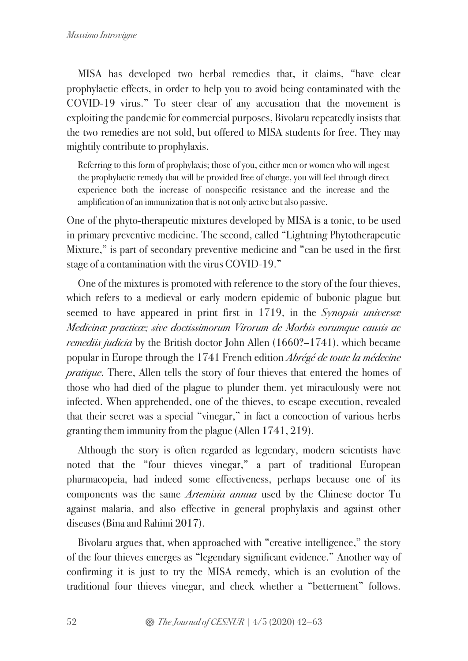MISA has developed two herbal remedies that, it claims, "have clear prophylactic effects, in order to help you to avoid being contaminated with the COVID-19 virus." To steer clear of any accusation that the movement is exploiting the pandemic for commercial purposes, Bivolaru repeatedly insists that the two remedies are not sold, but offered to MISA students for free. They may mightily contribute to prophylaxis.

Referring to this form of prophylaxis; those of you, either men or women who will ingest the prophylactic remedy that will be provided free of charge, you will feel through direct experience both the increase of nonspecific resistance and the increase and the amplification of an immunization that is not only active but also passive.

One of the phyto-therapeutic mixtures developed by MISA is a tonic, to be used in primary preventive medicine. The second, called "Lightning Phytotherapeutic Mixture," is part of secondary preventive medicine and "can be used in the first stage of a contamination with the virus COVID-19."

One of the mixtures is promoted with reference to the story of the four thieves, which refers to a medieval or early modern epidemic of bubonic plague but seemed to have appeared in print first in 1719, in the Synopsis universal Medicinæ practicæ; sive doctissimorum Virorum de Morbis eorumque causis ac remediis judicia by the British doctor John Allen (1660?–1741), which became popular in Europe through the 1741 French edition Abrégé de toute la médecine pratique. There, Allen tells the story of four thieves that entered the homes of those who had died of the plague to plunder them, yet miraculously were not infected. When apprehended, one of the thieves, to escape execution, revealed that their secret was a special "vinegar," in fact a concoction of various herbs granting them immunity from the plague (Allen 1741, 219).

Although the story is often regarded as legendary, modern scientists have noted that the "four thieves vinegar," a part of traditional European pharmacopeia, had indeed some effectiveness, perhaps because one of its components was the same Artemisia annua used by the Chinese doctor Tu against malaria, and also effective in general prophylaxis and against other diseases (Bina and Rahimi 2017).

Bivolaru argues that, when approached with "creative intelligence," the story of the four thieves emerges as "legendary significant evidence." Another way of confirming it is just to try the MISA remedy, which is an evolution of the traditional four thieves vinegar, and check whether a "betterment" follows.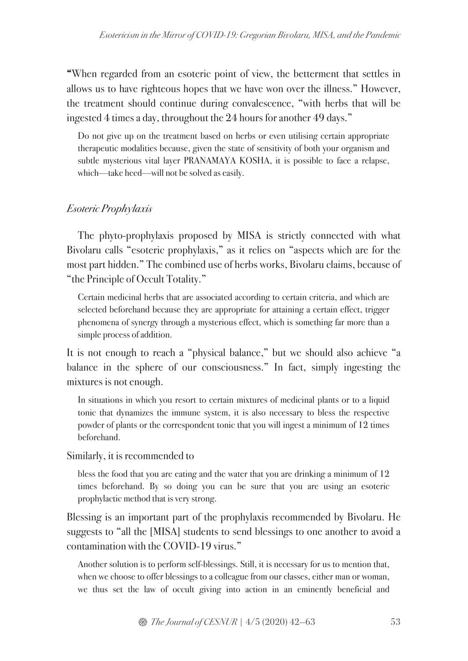"When regarded from an esoteric point of view, the betterment that settles in allows us to have righteous hopes that we have won over the illness." However, the treatment should continue during convalescence, "with herbs that will be ingested 4 times a day, throughout the 24 hours for another 49 days."

Do not give up on the treatment based on herbs or even utilising certain appropriate therapeutic modalities because, given the state of sensitivity of both your organism and subtle mysterious vital layer PRANAMAYA KOSHA, it is possible to face a relapse, which—take heed—will not be solved as easily.

# Esoteric Prophylaxis

The phyto-prophylaxis proposed by MISA is strictly connected with what Bivolaru calls "esoteric prophylaxis," as it relies on "aspects which are for the most part hidden." The combined use of herbs works, Bivolaru claims, because of "the Principle of Occult Totality."

Certain medicinal herbs that are associated according to certain criteria, and which are selected beforehand because they are appropriate for attaining a certain effect, trigger phenomena of synergy through a mysterious effect, which is something far more than a simple process of addition.

It is not enough to reach a "physical balance," but we should also achieve "a balance in the sphere of our consciousness." In fact, simply ingesting the mixtures is not enough.

In situations in which you resort to certain mixtures of medicinal plants or to a liquid tonic that dynamizes the immune system, it is also necessary to bless the respective powder of plants or the correspondent tonic that you will ingest a minimum of 12 times beforehand.

Similarly, it is recommended to

bless the food that you are eating and the water that you are drinking a minimum of 12 times beforehand. By so doing you can be sure that you are using an esoteric prophylactic method that is very strong.

Blessing is an important part of the prophylaxis recommended by Bivolaru. He suggests to "all the [MISA] students to send blessings to one another to avoid a contamination with the COVID-19 virus."

Another solution is to perform self-blessings. Still, it is necessary for us to mention that, when we choose to offer blessings to a colleague from our classes, either man or woman, we thus set the law of occult giving into action in an eminently beneficial and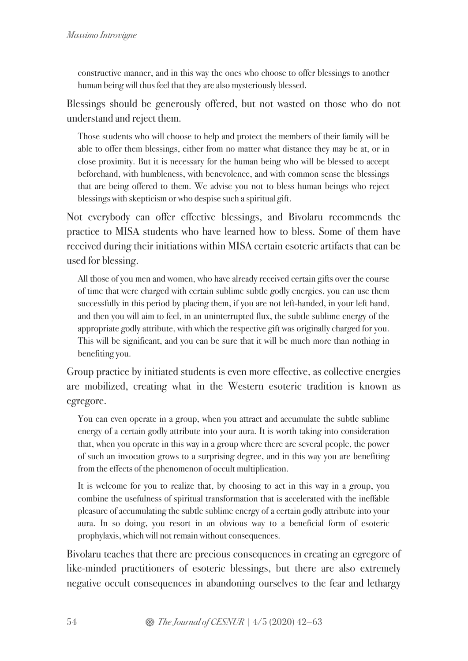constructive manner, and in this way the ones who choose to offer blessings to another human being will thus feel that they are also mysteriously blessed.

Blessings should be generously offered, but not wasted on those who do not understand and reject them.

Those students who will choose to help and protect the members of their family will be able to offer them blessings, either from no matter what distance they may be at, or in close proximity. But it is necessary for the human being who will be blessed to accept beforehand, with humbleness, with benevolence, and with common sense the blessings that are being offered to them. We advise you not to bless human beings who reject blessings with skepticism or who despise such a spiritual gift.

Not everybody can offer effective blessings, and Bivolaru recommends the practice to MISA students who have learned how to bless. Some of them have received during their initiations within MISA certain esoteric artifacts that can be used for blessing.

All those of you men and women, who have already received certain gifts over the course of time that were charged with certain sublime subtle godly energies, you can use them successfully in this period by placing them, if you are not left-handed, in your left hand, and then you will aim to feel, in an uninterrupted flux, the subtle sublime energy of the appropriate godly attribute, with which the respective gift was originally charged for you. This will be significant, and you can be sure that it will be much more than nothing in benefiting you.

Group practice by initiated students is even more effective, as collective energies are mobilized, creating what in the Western esoteric tradition is known as egregore.

You can even operate in a group, when you attract and accumulate the subtle sublime energy of a certain godly attribute into your aura. It is worth taking into consideration that, when you operate in this way in a group where there are several people, the power of such an invocation grows to a surprising degree, and in this way you are benefiting from the effects of the phenomenon of occult multiplication.

It is welcome for you to realize that, by choosing to act in this way in a group, you combine the usefulness of spiritual transformation that is accelerated with the ineffable pleasure of accumulating the subtle sublime energy of a certain godly attribute into your aura. In so doing, you resort in an obvious way to a beneficial form of esoteric prophylaxis, which will not remain without consequences.

Bivolaru teaches that there are precious consequences in creating an egregore of like-minded practitioners of esoteric blessings, but there are also extremely negative occult consequences in abandoning ourselves to the fear and lethargy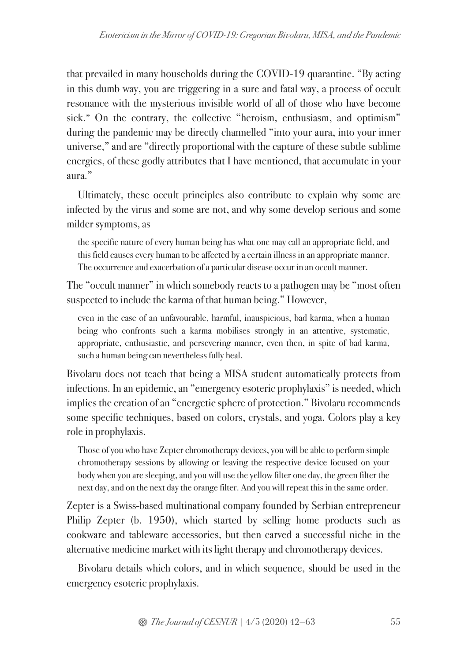that prevailed in many households during the COVID-19 quarantine. "By acting in this dumb way, you are triggering in a sure and fatal way, a process of occult resonance with the mysterious invisible world of all of those who have become sick." On the contrary, the collective "heroism, enthusiasm, and optimism" during the pandemic may be directly channelled "into your aura, into your inner universe," and are "directly proportional with the capture of these subtle sublime energies, of these godly attributes that I have mentioned, that accumulate in your aura."

Ultimately, these occult principles also contribute to explain why some are infected by the virus and some are not, and why some develop serious and some milder symptoms, as

the specific nature of every human being has what one may call an appropriate field, and this field causes every human to be affected by a certain illness in an appropriate manner. The occurrence and exacerbation of a particular disease occur in an occult manner.

The "occult manner" in which somebody reacts to a pathogen may be "most often suspected to include the karma of that human being." However,

even in the case of an unfavourable, harmful, inauspicious, bad karma, when a human being who confronts such a karma mobilises strongly in an attentive, systematic, appropriate, enthusiastic, and persevering manner, even then, in spite of bad karma, such a human being can nevertheless fully heal.

Bivolaru does not teach that being a MISA student automatically protects from infections. In an epidemic, an "emergency esoteric prophylaxis" is needed, which implies the creation of an "energetic sphere of protection." Bivolaru recommends some specific techniques, based on colors, crystals, and yoga. Colors play a key role in prophylaxis.

Those of you who have Zepter chromotherapy devices, you will be able to perform simple chromotherapy sessions by allowing or leaving the respective device focused on your body when you are sleeping, and you will use the yellow filter one day, the green filter the next day, and on the next day the orange filter. And you will repeat this in the same order.

Zepter is a Swiss-based multinational company founded by Serbian entrepreneur Philip Zepter (b. 1950), which started by selling home products such as cookware and tableware accessories, but then carved a successful niche in the alternative medicine market with its light therapy and chromotherapy devices.

Bivolaru details which colors, and in which sequence, should be used in the emergency esoteric prophylaxis.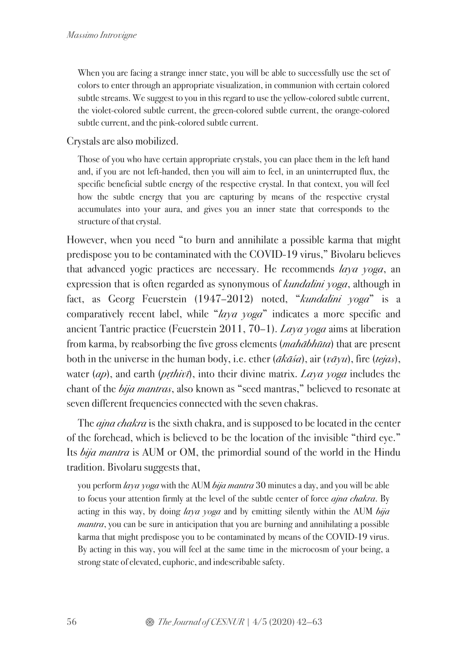When you are facing a strange inner state, you will be able to successfully use the set of colors to enter through an appropriate visualization, in communion with certain colored subtle streams. We suggest to you in this regard to use the yellow-colored subtle current, the violet-colored subtle current, the green-colored subtle current, the orange-colored subtle current, and the pink-colored subtle current.

Crystals are also mobilized.

Those of you who have certain appropriate crystals, you can place them in the left hand and, if you are not left-handed, then you will aim to feel, in an uninterrupted flux, the specific beneficial subtle energy of the respective crystal. In that context, you will feel how the subtle energy that you are capturing by means of the respective crystal accumulates into your aura, and gives you an inner state that corresponds to the structure of that crystal.

However, when you need "to burn and annihilate a possible karma that might predispose you to be contaminated with the COVID-19 virus," Bivolaru believes that advanced yogic practices are necessary. He recommends laya yoga, an expression that is often regarded as synonymous of kundalini yoga, although in fact, as Georg Feuerstein (1947–2012) noted, "kundalini yoga" is a comparatively recent label, while " $daya \text{ voga}$ " indicates a more specific and ancient Tantric practice (Feuerstein 2011, 70–1). Laya yoga aims at liberation from karma, by reabsorbing the five gross elements (mahābhūta) that are present both in the universe in the human body, i.e. ether  $(\bar{a}k\bar{a}\bar{s}a)$ , air  $(\bar{v}\bar{a}\bar{y}u)$ , fire  $(\bar{t}\bar{e}j\bar{a}s)$ , water  $(ap)$ , and earth  $(p;thiv\bar{\imath})$ , into their divine matrix. Laya yoga includes the chant of the *bija mantras*, also known as "seed mantras," believed to resonate at seven different frequencies connected with the seven chakras.

The *ajna chakra* is the sixth chakra, and is supposed to be located in the center of the forehead, which is believed to be the location of the invisible "third eye." Its bija mantra is AUM or OM, the primordial sound of the world in the Hindu tradition. Bivolaru suggests that,

you perform laya yoga with the AUM bija mantra 30 minutes a day, and you will be able to focus your attention firmly at the level of the subtle center of force *ajna chakra*. By acting in this way, by doing  $laya yoga$  and by emitting silently within the AUM  $bija$ *mantra*, you can be sure in anticipation that you are burning and annihilating a possible karma that might predispose you to be contaminated by means of the COVID-19 virus. By acting in this way, you will feel at the same time in the microcosm of your being, a strong state of elevated, euphoric, and indescribable safety.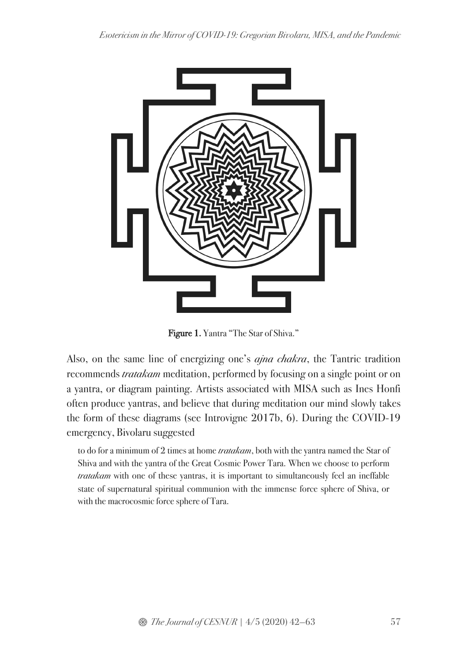

Figure 1. Yantra "The Star of Shiva."

Also, on the same line of energizing one's *ajna chakra*, the Tantric tradition recommends tratakam meditation, performed by focusing on a single point or on a yantra, or diagram painting. Artists associated with MISA such as Ines Honfi often produce yantras, and believe that during meditation our mind slowly takes the form of these diagrams (see Introvigne 2017b, 6). During the COVID-19 emergency, Bivolaru suggested

to do for a minimum of 2 times at home *tratakam*, both with the yantra named the Star of Shiva and with the yantra of the Great Cosmic Power Tara. When we choose to perform tratakam with one of these yantras, it is important to simultaneously feel an ineffable state of supernatural spiritual communion with the immense force sphere of Shiva, or with the macrocosmic force sphere of Tara.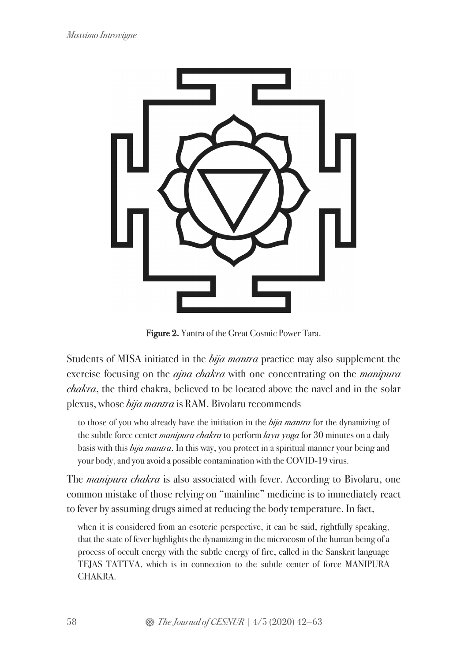

Figure 2. Yantra of the Great Cosmic Power Tara.

Students of MISA initiated in the bija mantra practice may also supplement the exercise focusing on the *ajna chakra* with one concentrating on the *manipura* chakra, the third chakra, believed to be located above the navel and in the solar plexus, whose bija mantra is RAM. Bivolaru recommends

to those of you who already have the initiation in the *bija mantra* for the dynamizing of the subtle force center *manipura chakra* to perform  $\log a$  yoga for 30 minutes on a daily basis with this *bija mantra*. In this way, you protect in a spiritual manner your being and your body, and you avoid a possible contamination with the COVID-19 virus.

The *manipura chakra* is also associated with fever. According to Bivolaru, one common mistake of those relying on "mainline" medicine is to immediately react to fever by assuming drugs aimed at reducing the body temperature. In fact,

when it is considered from an esoteric perspective, it can be said, rightfully speaking, that the state of fever highlights the dynamizing in the microcosm of the human being of a process of occult energy with the subtle energy of fire, called in the Sanskrit language TEJAS TATTVA, which is in connection to the subtle center of force MANIPURA CHAKRA.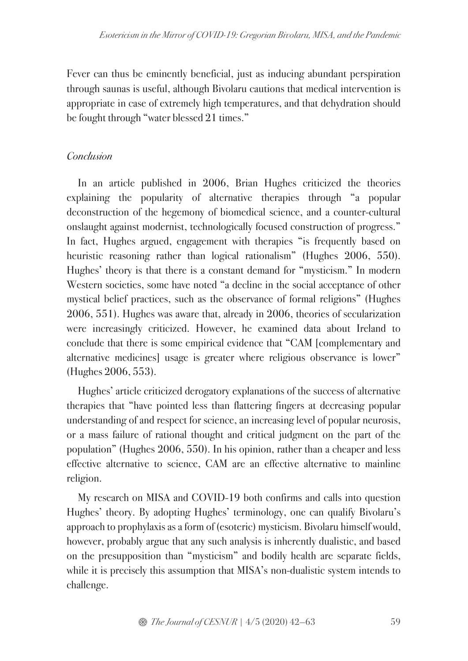Fever can thus be eminently beneficial, just as inducing abundant perspiration through saunas is useful, although Bivolaru cautions that medical intervention is appropriate in case of extremely high temperatures, and that dehydration should be fought through "water blessed 21 times."

## **Conclusion**

In an article published in 2006, Brian Hughes criticized the theories explaining the popularity of alternative therapies through "a popular deconstruction of the hegemony of biomedical science, and a counter-cultural onslaught against modernist, technologically focused construction of progress." In fact, Hughes argued, engagement with therapies "is frequently based on heuristic reasoning rather than logical rationalism" (Hughes 2006, 550). Hughes' theory is that there is a constant demand for "mysticism." In modern Western societies, some have noted "a decline in the social acceptance of other mystical belief practices, such as the observance of formal religions" (Hughes 2006, 551). Hughes was aware that, already in 2006, theories of secularization were increasingly criticized. However, he examined data about Ireland to conclude that there is some empirical evidence that "CAM [complementary and alternative medicines] usage is greater where religious observance is lower" (Hughes 2006, 553).

Hughes' article criticized derogatory explanations of the success of alternative therapies that "have pointed less than flattering fingers at decreasing popular understanding of and respect for science, an increasing level of popular neurosis, or a mass failure of rational thought and critical judgment on the part of the population" (Hughes 2006, 550). In his opinion, rather than a cheaper and less effective alternative to science, CAM are an effective alternative to mainline religion.

My research on MISA and COVID-19 both confirms and calls into question Hughes' theory. By adopting Hughes' terminology, one can qualify Bivolaru's approach to prophylaxis as a form of (esoteric) mysticism. Bivolaru himself would, however, probably argue that any such analysis is inherently dualistic, and based on the presupposition than "mysticism" and bodily health are separate fields, while it is precisely this assumption that MISA's non-dualistic system intends to challenge.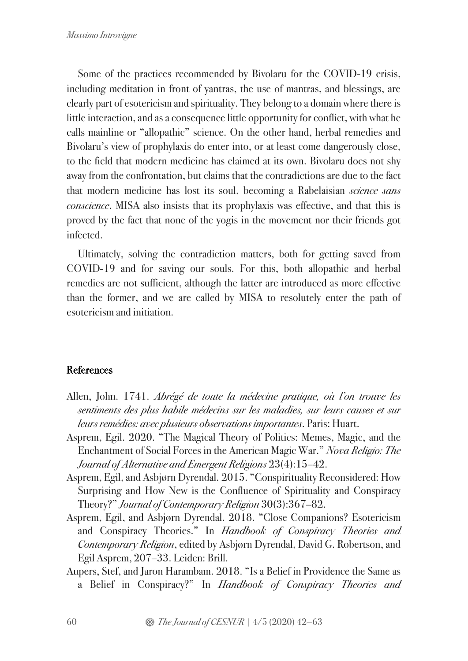Some of the practices recommended by Bivolaru for the COVID-19 crisis, including meditation in front of yantras, the use of mantras, and blessings, are clearly part of esotericism and spirituality. They belong to a domain where there is little interaction, and as a consequence little opportunity for conflict, with what he calls mainline or "allopathic" science. On the other hand, herbal remedies and Bivolaru's view of prophylaxis do enter into, or at least come dangerously close, to the field that modern medicine has claimed at its own. Bivolaru does not shy away from the confrontation, but claims that the contradictions are due to the fact that modern medicine has lost its soul, becoming a Rabelaisian *science sans* conscience. MISA also insists that its prophylaxis was effective, and that this is proved by the fact that none of the yogis in the movement nor their friends got infected.

Ultimately, solving the contradiction matters, both for getting saved from COVID-19 and for saving our souls. For this, both allopathic and herbal remedies are not sufficient, although the latter are introduced as more effective than the former, and we are called by MISA to resolutely enter the path of esotericism and initiation.

### References

- Allen, John. 1741. Abrégé de toute la médecine pratique, où l'on trouve les sentiments des plus habile médecins sur les maladies, sur leurs causes et sur leurs remédies: avec plusieurs observations importantes. Paris: Huart.
- Asprem, Egil. 2020. "The Magical Theory of Politics: Memes, Magic, and the Enchantment of Social Forces in the American Magic War." Nova Religio: The Journal of Alternative and Emergent Religions 23(4):15–42.
- Asprem, Egil, and Asbjørn Dyrendal. 2015. "Conspirituality Reconsidered: How Surprising and How New is the Confluence of Spirituality and Conspiracy Theory?" Journal of Contemporary Religion 30(3):367–82.
- Asprem, Egil, and Asbjørn Dyrendal. 2018. "Close Companions? Esotericism and Conspiracy Theories." In Handbook of Conspiracy Theories and Contemporary Religion, edited by Asbjørn Dyrendal, David G. Robertson, and Egil Asprem, 207–33. Leiden: Brill.
- Aupers, Stef, and Jaron Harambam. 2018. "Is a Belief in Providence the Same as a Belief in Conspiracy?" In Handbook of Conspiracy Theories and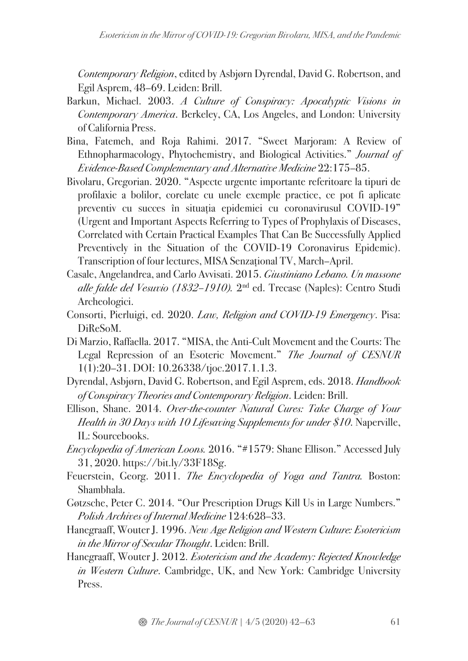Contemporary Religion, edited by Asbjørn Dyrendal, David G. Robertson, and Egil Asprem, 48–69. Leiden: Brill.

- Barkun, Michael. 2003. A Culture of Conspiracy: Apocalyptic Visions in Contemporary America. Berkeley, CA, Los Angeles, and London: University of California Press.
- Bina, Fatemeh, and Roja Rahimi. 2017. "Sweet Marjoram: A Review of Ethnopharmacology, Phytochemistry, and Biological Activities." Journal of Evidence-Based Complementary and Alternative Medicine 22:175–85.
- Bivolaru, Gregorian. 2020. "Aspecte urgente importante referitoare la tipuri de profilaxie a bolilor, corelate cu unele exemple practice, ce pot fi aplicate preventiv cu succes în situația epidemiei cu coronavirusul COVID-19" (Urgent and Important Aspects Referring to Types of Prophylaxis of Diseases, Correlated with Certain Practical Examples That Can Be Successfully Applied Preventively in the Situation of the COVID-19 Coronavirus Epidemic). Transcription of four lectures, MISA Senzațional TV, March–April.
- Casale, Angelandrea, and Carlo Avvisati. 2015. Giustiniano Lebano. Un massone alle falde del Vesuvio (1832–1910). 2nd ed. Trecase (Naples): Centro Studi Archeologici.
- Consorti, Pierluigi, ed. 2020. Law, Religion and COVID-19 Emergency. Pisa: DiReSoM.
- Di Marzio, Raffaella. 2017. "MISA, the Anti-Cult Movement and the Courts: The Legal Repression of an Esoteric Movement." The Journal of CESNUR 1(1):20–31. DOI: 10.26338/tjoc.2017.1.1.3.
- Dyrendal, Asbjørn, David G. Robertson, and Egil Asprem, eds. 2018. Handbook of Conspiracy Theories and Contemporary Religion. Leiden: Brill.
- Ellison, Shane. 2014. Over-the-counter Natural Cures: Take Charge of Your Health in 30 Days with 10 Lifesaving Supplements for under \$10. Naperville, IL: Sourcebooks.
- Encyclopedia of American Loons. 2016. "#1579: Shane Ellison." Accessed July 31, 2020. https://bit.ly/33F18Sg.
- Feuerstein, Georg. 2011. The Encyclopedia of Yoga and Tantra. Boston: Shambhala.
- Gøtzsche, Peter C. 2014. "Our Prescription Drugs Kill Us in Large Numbers." Polish Archives of Internal Medicine 124:628–33.
- Hanegraaff, Wouter J. 1996. New Age Religion and Western Culture: Esotericism in the Mirror of Secular Thought. Leiden: Brill.
- Hanegraaff, Wouter J. 2012. Esotericism and the Academy: Rejected Knowledge in Western Culture. Cambridge, UK, and New York: Cambridge University Press.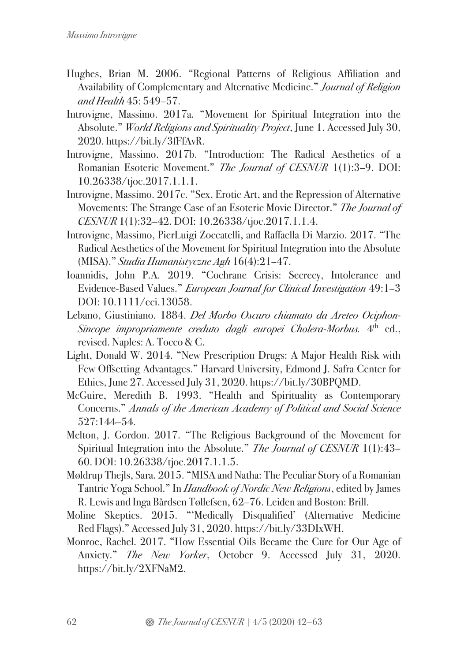- Hughes, Brian M. 2006. "Regional Patterns of Religious Affiliation and Availability of Complementary and Alternative Medicine." Journal of Religion and Health 45: 549–57.
- Introvigne, Massimo. 2017a. "Movement for Spiritual Integration into the Absolute." World Religions and Spirituality Project, June 1. Accessed July 30, 2020. https://bit.ly/3fFfAvR.
- Introvigne, Massimo. 2017b. "Introduction: The Radical Aesthetics of a Romanian Esoteric Movement." The Journal of CESNUR 1(1):3–9. DOI: 10.26338/tjoc.2017.1.1.1.
- Introvigne, Massimo. 2017c. "Sex, Erotic Art, and the Repression of Alternative Movements: The Strange Case of an Esoteric Movie Director." The Journal of CESNUR 1(1):32–42. DOI: 10.26338/tjoc.2017.1.1.4.
- Introvigne, Massimo, PierLuigi Zoccatelli, and Raffaella Di Marzio. 2017. "The Radical Aesthetics of the Movement for Spiritual Integration into the Absolute (MISA)." Studia Humanistyczne Agh 16(4):21–47.
- Ioannidis, John P.A. 2019. "Cochrane Crisis: Secrecy, Intolerance and Evidence-Based Values." European Journal for Clinical Investigation 49:1–3 DOI: 10.1111/eci.13058.
- Lebano, Giustiniano. 1884. Del Morbo Oscuro chiamato da Areteo Ociphon-Sincope impropriamente creduto dagli europei Cholera-Morbus. 4<sup>th</sup> ed., revised. Naples: A. Tocco & C.
- Light, Donald W. 2014. "New Prescription Drugs: A Major Health Risk with Few Offsetting Advantages." Harvard University, Edmond J. Safra Center for Ethics, June 27. Accessed July 31, 2020. https://bit.ly/30BPQMD.
- McGuire, Meredith B. 1993. "Health and Spirituality as Contemporary Concerns." Annals of the American Academy of Political and Social Science 527:144–54.
- Melton, J. Gordon. 2017. "The Religious Background of the Movement for Spiritual Integration into the Absolute." The Journal of CESNUR 1(1):43-60. DOI: 10.26338/tjoc.2017.1.1.5.
- Møldrup Thejls, Sara. 2015. "MISA and Natha: The Peculiar Story of a Romanian Tantric Yoga School." In Handbook of Nordic New Religions, edited by James R. Lewis and Inga Bårdsen Tøllefsen, 62–76. Leiden and Boston: Brill.
- Moline Skeptics. 2015. "'Medically Disqualified' (Alternative Medicine Red Flags)." Accessed July 31, 2020. https://bit.ly/33DIxWH.
- Monroe, Rachel. 2017. "How Essential Oils Became the Cure for Our Age of Anxiety." The New Yorker, October 9. Accessed July 31, 2020. https://bit.ly/2XFNaM2.